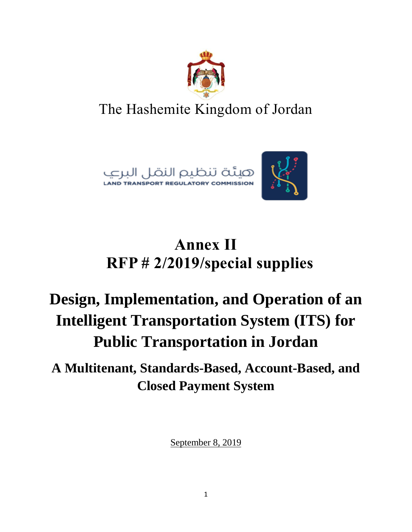

## The Hashemite Kingdom of Jordan





# **Annex II RFP # 2/2019/special supplies**

# **Design, Implementation, and Operation of an Intelligent Transportation System (ITS) for Public Transportation in Jordan**

### **A Multitenant, Standards-Based, Account-Based, and Closed Payment System**

September 8, 2019